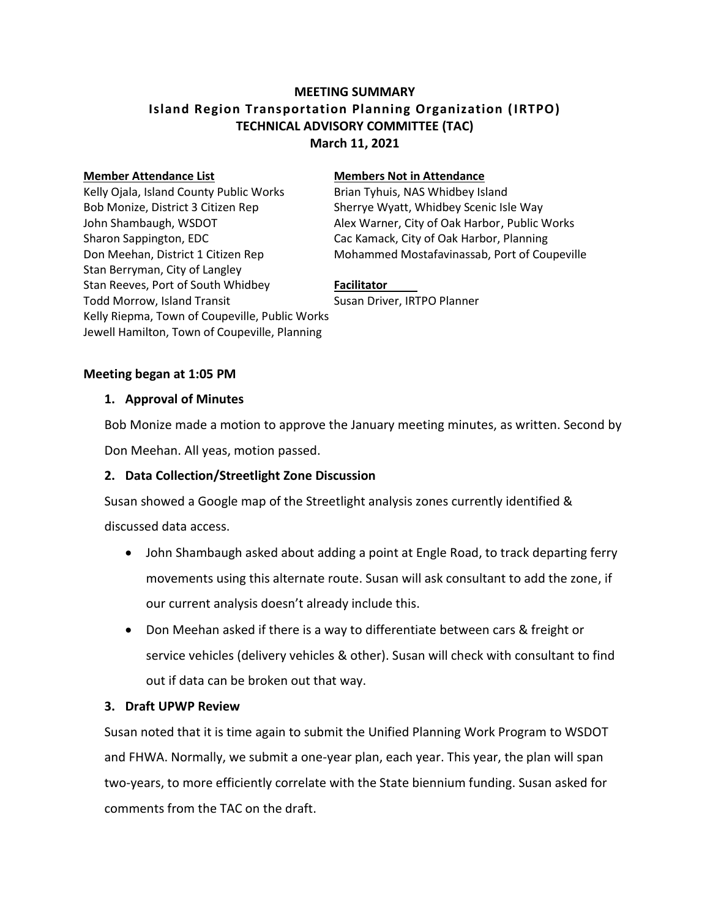# **MEETING SUMMARY Island Region Transportation Planning Organization (IRTPO) TECHNICAL ADVISORY COMMITTEE (TAC) March 11, 2021**

Kelly Ojala, Island County Public Works Brian Tyhuis, NAS Whidbey Island Bob Monize, District 3 Citizen Rep Sherrye Wyatt, Whidbey Scenic Isle Way Sharon Sappington, EDC Cac Kamack, City of Oak Harbor, Planning Stan Berryman, City of Langley Stan Reeves, Port of South Whidbey **Facilitator** Todd Morrow, Island Transit Susan Driver, IRTPO Planner Kelly Riepma, Town of Coupeville, Public Works Jewell Hamilton, Town of Coupeville, Planning

#### **Member Attendance List Members Not in Attendance**

John Shambaugh, WSDOT Alex Warner, City of Oak Harbor, Public Works Don Meehan, District 1 Citizen Rep Mohammed Mostafavinassab, Port of Coupeville

#### **Meeting began at 1:05 PM**

#### **1. Approval of Minutes**

Bob Monize made a motion to approve the January meeting minutes, as written. Second by

Don Meehan. All yeas, motion passed.

## **2. Data Collection/Streetlight Zone Discussion**

Susan showed a Google map of the Streetlight analysis zones currently identified & discussed data access.

 John Shambaugh asked about adding a point at Engle Road, to track departing ferry movements using this alternate route. Susan will ask consultant to add the zone, if our current analysis doesn't already include this.

 Don Meehan asked if there is a way to differentiate between cars & freight or service vehicles (delivery vehicles & other). Susan will check with consultant to find out if data can be broken out that way.

## **3. Draft UPWP Review**

Susan noted that it is time again to submit the Unified Planning Work Program to WSDOT and FHWA. Normally, we submit a one-year plan, each year. This year, the plan will span two-years, to more efficiently correlate with the State biennium funding. Susan asked for comments from the TAC on the draft.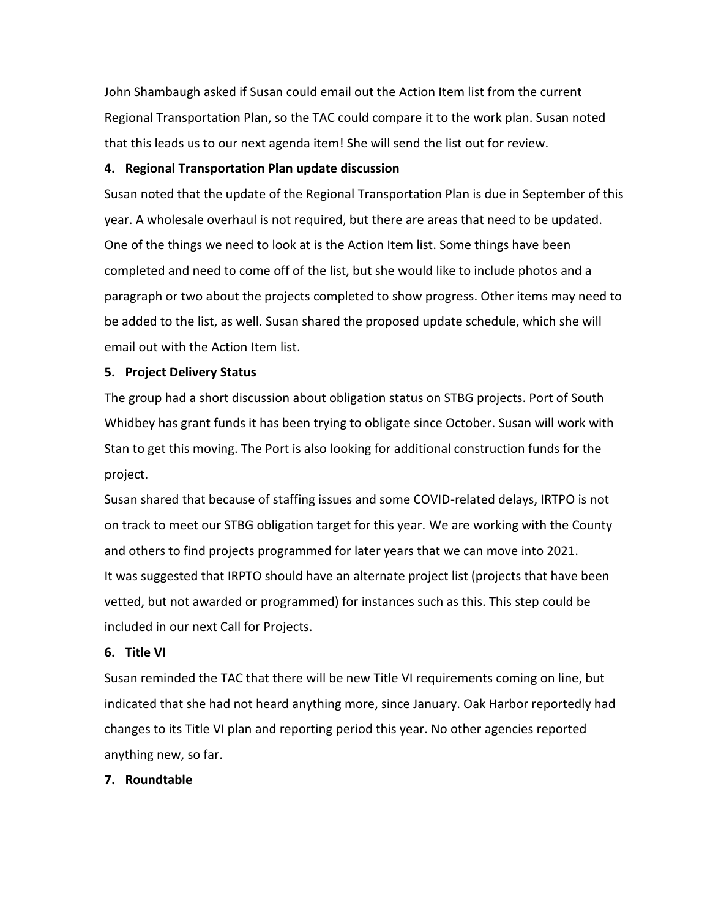John Shambaugh asked if Susan could email out the Action Item list from the current Regional Transportation Plan, so the TAC could compare it to the work plan. Susan noted that this leads us to our next agenda item! She will send the list out for review.

## **4. Regional Transportation Plan update discussion**

Susan noted that the update of the Regional Transportation Plan is due in September of this year. A wholesale overhaul is not required, but there are areas that need to be updated. One of the things we need to look at is the Action Item list. Some things have been completed and need to come off of the list, but she would like to include photos and a paragraph or two about the projects completed to show progress. Other items may need to be added to the list, as well. Susan shared the proposed update schedule, which she will email out with the Action Item list.

## **5. Project Delivery Status**

The group had a short discussion about obligation status on STBG projects. Port of South Whidbey has grant funds it has been trying to obligate since October. Susan will work with Stan to get this moving. The Port is also looking for additional construction funds for the project.

Susan shared that because of staffing issues and some COVID-related delays, IRTPO is not on track to meet our STBG obligation target for this year. We are working with the County and others to find projects programmed for later years that we can move into 2021. It was suggested that IRPTO should have an alternate project list (projects that have been vetted, but not awarded or programmed) for instances such as this. This step could be included in our next Call for Projects.

## **6. Title VI**

Susan reminded the TAC that there will be new Title VI requirements coming on line, but indicated that she had not heard anything more, since January. Oak Harbor reportedly had changes to its Title VI plan and reporting period this year. No other agencies reported anything new, so far.

# **7. Roundtable**